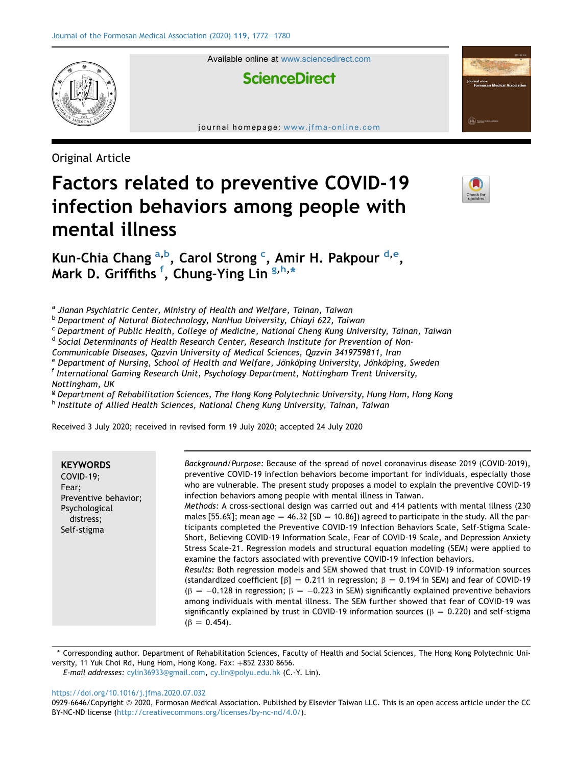

Available online at [www.sciencedirect.com](www.sciencedirect.com/science/journal/09296646)

# **ScienceDirect**

journal homepage: [www.jfma-online.com](http://www.jfma-online.com)

Original Article

# Factors related to preventive COVID-19 infection behaviors among people with mental illness



Kun-Chi[a](#page-0-0) Chang <sup>a,[b](#page-0-1)</sup>, Carol Strong <sup>[c](#page-0-2)</sup>, Amir H. Pakpour <sup>[d,](#page-0-3)[e](#page-0-4)</sup>, Mark D. Gri[f](#page-0-5)fiths <sup>f</sup>, Chung-Ying Lin <sup>[g,](#page-0-6)[h,](#page-0-7)</sup>[\\*](#page-0-8)

<span id="page-0-0"></span><sup>a</sup> Jianan Psychiatric Center, Ministry of Health and Welfare, Tainan, Taiwan

<span id="page-0-1"></span><sup>b</sup> Department of Natural Biotechnology, NanHua University, Chiayi 622, Taiwan

<span id="page-0-2"></span><sup>c</sup> Department of Public Health, College of Medicine, National Cheng Kung University, Tainan, Taiwan

<span id="page-0-3"></span><sup>d</sup> Social Determinants of Health Research Center, Research Institute for Prevention of Non-

Communicable Diseases, Qazvin University of Medical Sciences, Qazvin 3419759811, Iran<br><sup>e</sup> Department of Nursing, School of Health and Welfare, Jönköping University, Jönköping, Sweden

<span id="page-0-4"></span>

<span id="page-0-5"></span> $^{\text{f}}$  International Gaming Research Unit, Psychology Department, Nottingham Trent University,

Nottingham, UK

<span id="page-0-6"></span><sup>g</sup> Department of Rehabilitation Sciences, The Hong Kong Polytechnic University, Hung Hom, Hong Kong

<span id="page-0-7"></span>h Institute of Allied Health Sciences, National Cheng Kung University, Tainan, Taiwan

Received 3 July 2020; received in revised form 19 July 2020; accepted 24 July 2020

| <b>KEYWORDS</b><br>COVID-19:<br>Fear;<br>Preventive behavior;<br>Psychological<br>distress;<br>Self-stigma | Background/Purpose: Because of the spread of novel coronavirus disease 2019 (COVID-2019),<br>preventive COVID-19 infection behaviors become important for individuals, especially those<br>who are vulnerable. The present study proposes a model to explain the preventive COVID-19<br>infection behaviors among people with mental illness in Taiwan.<br>Methods: A cross-sectional design was carried out and 414 patients with mental illness (230)<br>males [55.6%]; mean age $=$ 46.32 [SD $=$ 10.86]) agreed to participate in the study. All the par-<br>ticipants completed the Preventive COVID-19 Infection Behaviors Scale, Self-Stigma Scale-<br>Short, Believing COVID-19 Information Scale, Fear of COVID-19 Scale, and Depression Anxiety<br>Stress Scale-21. Regression models and structural equation modeling (SEM) were applied to<br>examine the factors associated with preventive COVID-19 infection behaviors.<br>Results: Both regression models and SEM showed that trust in COVID-19 information sources<br>(standardized coefficient $\beta$ ] = 0.211 in regression; $\beta$ = 0.194 in SEM) and fear of COVID-19<br>$(\beta = -0.128$ in regression; $\beta = -0.223$ in SEM) significantly explained preventive behaviors<br>among individuals with mental illness. The SEM further showed that fear of COVID-19 was<br>significantly explained by trust in COVID-19 information sources ( $\beta = 0.220$ ) and self-stigma |
|------------------------------------------------------------------------------------------------------------|-------------------------------------------------------------------------------------------------------------------------------------------------------------------------------------------------------------------------------------------------------------------------------------------------------------------------------------------------------------------------------------------------------------------------------------------------------------------------------------------------------------------------------------------------------------------------------------------------------------------------------------------------------------------------------------------------------------------------------------------------------------------------------------------------------------------------------------------------------------------------------------------------------------------------------------------------------------------------------------------------------------------------------------------------------------------------------------------------------------------------------------------------------------------------------------------------------------------------------------------------------------------------------------------------------------------------------------------------------------------------------------------------------------------------------------------------------------|
|                                                                                                            | $(\beta = 0.454)$ .                                                                                                                                                                                                                                                                                                                                                                                                                                                                                                                                                                                                                                                                                                                                                                                                                                                                                                                                                                                                                                                                                                                                                                                                                                                                                                                                                                                                                                         |

<span id="page-0-8"></span>\* Corresponding author. Department of Rehabilitation Sciences, Faculty of Health and Social Sciences, The Hong Kong Polytechnic University, 11 Yuk Choi Rd, Hung Hom, Hong Kong. Fax:  $+852$  2330 8656.

E-mail addresses: [cylin36933@gmail.com](mailto:cylin36933@gmail.com), [cy.lin@polyu.edu.hk](mailto:cy.lin@polyu.edu.hk) (C.-Y. Lin).

<https://doi.org/10.1016/j.jfma.2020.07.032>

<sup>0929-6646/</sup>Copyright © 2020, Formosan Medical Association. Published by Elsevier Taiwan LLC. This is an open access article under the CC BY-NC-ND license [\(http://creativecommons.org/licenses/by-nc-nd/4.0/\)](http://creativecommons.org/licenses/by-nc-nd/4.0/).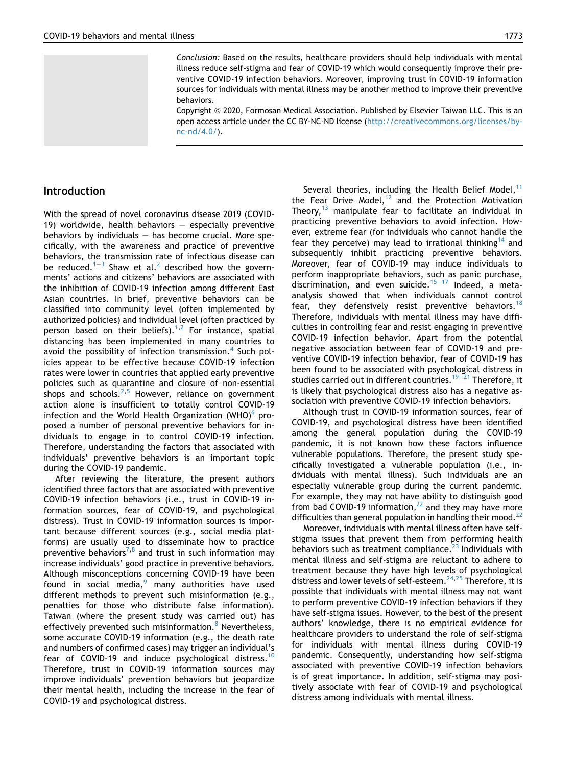Conclusion: Based on the results, healthcare providers should help individuals with mental illness reduce self-stigma and fear of COVID-19 which would consequently improve their preventive COVID-19 infection behaviors. Moreover, improving trust in COVID-19 information sources for individuals with mental illness may be another method to improve their preventive behaviors.

Copyright @ 2020, Formosan Medical Association. Published by Elsevier Taiwan LLC. This is an open access article under the CC BY-NC-ND license [\(http://creativecommons.org/licenses/by](http://creativecommons.org/licenses/by-nc-nd/4.0/) $nc\text{-}nd/4.0/$ ).

# Introduction

With the spread of novel coronavirus disease 2019 (COVID-19) worldwide, health behaviors  $-$  especially preventive behaviors by individuals  $-$  has become crucial. More specifically, with the awareness and practice of preventive behaviors, the transmission rate of infectious disease can be reduced.<sup>[1](#page-7-0)-[3](#page-7-0)</sup> Shaw et al.<sup>[2](#page-7-1)</sup> described how the governments' actions and citizens' behaviors are associated with the inhibition of COVID-19 infection among different East Asian countries. In brief, preventive behaviors can be classified into community level (often implemented by authorized policies) and individual level (often practiced by person based on their beliefs).<sup>[1,](#page-7-0)[2](#page-7-1)</sup> For instance, spatial distancing has been implemented in many countries to avoid the possibility of infection transmission.<sup>[4](#page-7-2)</sup> Such policies appear to be effective because COVID-19 infection rates were lower in countries that applied early preventive policies such as quarantine and closure of non-essential shops and schools. $2,5$  $2,5$  However, reliance on government action alone is insufficient to totally control COVID-19 infection and the World Health Organization (WHO) $^{\circ}$  proposed a number of personal preventive behaviors for individuals to engage in to control COVID-19 infection. Therefore, understanding the factors that associated with individuals' preventive behaviors is an important topic during the COVID-19 pandemic.

After reviewing the literature, the present authors identified three factors that are associated with preventive COVID-19 infection behaviors (i.e., trust in COVID-19 information sources, fear of COVID-19, and psychological distress). Trust in COVID-19 information sources is important because different sources (e.g., social media platforms) are usually used to disseminate how to practice preventive behaviors<sup>[7](#page-7-5),[8](#page-7-6)</sup> and trust in such information may increase individuals' good practice in preventive behaviors. Although misconceptions concerning COVID-19 have been found in social media,<sup>[9](#page-7-7)</sup> many authorities have used different methods to prevent such misinformation (e.g., penalties for those who distribute false information). Taiwan (where the present study was carried out) has effectively prevented such misinformation.<sup>[8](#page-7-6)</sup> Nevertheless, some accurate COVID-19 information (e.g., the death rate and numbers of confirmed cases) may trigger an individual's fear of COVID-19 and induce psychological distress.<sup>10</sup> Therefore, trust in COVID-19 information sources may improve individuals' prevention behaviors but jeopardize their mental health, including the increase in the fear of COVID-19 and psychological distress.

Several theories, including the Health Belief Model, $11$ the Fear Drive Model,<sup>[12](#page-7-10)</sup> and the Protection Motivation Theory, $13$  manipulate fear to facilitate an individual in practicing preventive behaviors to avoid infection. However, extreme fear (for individuals who cannot handle the fear they perceive) may lead to irrational thinking<sup>[14](#page-7-12)</sup> and subsequently inhibit practicing preventive behaviors. Moreover, fear of COVID-19 may induce individuals to perform inappropriate behaviors, such as panic purchase, discrimination, and even suicide.<sup>[15](#page-7-13)-[17](#page-7-13)</sup> Indeed, a metaanalysis showed that when individuals cannot control fear, they defensively resist preventive behaviors.<sup>18</sup> Therefore, individuals with mental illness may have difficulties in controlling fear and resist engaging in preventive COVID-19 infection behavior. Apart from the potential negative association between fear of COVID-19 and preventive COVID-19 infection behavior, fear of COVID-19 has been found to be associated with psychological distress in studies carried out in different countries.<sup>19-[21](#page-7-15)</sup> Therefore, it is likely that psychological distress also has a negative association with preventive COVID-19 infection behaviors.

Although trust in COVID-19 information sources, fear of COVID-19, and psychological distress have been identified among the general population during the COVID-19 pandemic, it is not known how these factors influence vulnerable populations. Therefore, the present study specifically investigated a vulnerable population (i.e., individuals with mental illness). Such individuals are an especially vulnerable group during the current pandemic. For example, they may not have ability to distinguish good from bad COVID-19 information, $^{22}$  and they may have more difficulties than general population in handling their mood. $^{22}$  $^{22}$  $^{22}$ 

Moreover, individuals with mental illness often have selfstigma issues that prevent them from performing health behaviors such as treatment compliance.<sup>[23](#page-7-17)</sup> Individuals with mental illness and self-stigma are reluctant to adhere to treatment because they have high levels of psychological distress and lower levels of self-esteem.[24](#page-7-18)[,25](#page-7-19) Therefore, it is possible that individuals with mental illness may not want to perform preventive COVID-19 infection behaviors if they have self-stigma issues. However, to the best of the present authors' knowledge, there is no empirical evidence for healthcare providers to understand the role of self-stigma for individuals with mental illness during COVID-19 pandemic. Consequently, understanding how self-stigma associated with preventive COVID-19 infection behaviors is of great importance. In addition, self-stigma may positively associate with fear of COVID-19 and psychological distress among individuals with mental illness.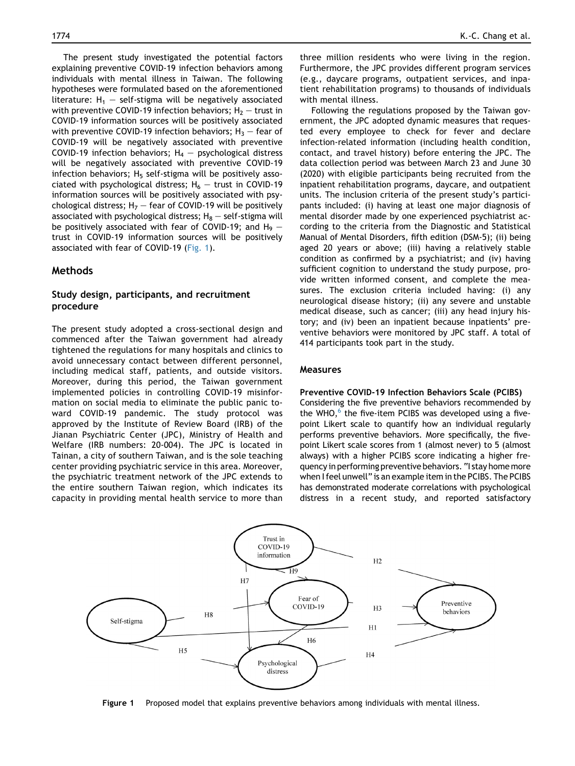The present study investigated the potential factors explaining preventive COVID-19 infection behaviors among individuals with mental illness in Taiwan. The following hypotheses were formulated based on the aforementioned literature:  $H_1$  – self-stigma will be negatively associated with preventive COVID-19 infection behaviors;  $H_2$  – trust in COVID-19 information sources will be positively associated with preventive COVID-19 infection behaviors;  $H_3$  – fear of COVID-19 will be negatively associated with preventive COVID-19 infection behaviors;  $H_4$  – psychological distress will be negatively associated with preventive COVID-19 infection behaviors;  $H_5$  self-stigma will be positively associated with psychological distress;  $H_6$  – trust in COVID-19 information sources will be positively associated with psychological distress;  $H_7$  – fear of COVID-19 will be positively associated with psychological distress;  $H_8$  – self-stigma will be positively associated with fear of COVID-19; and  $H_9$  – trust in COVID-19 information sources will be positively associated with fear of COVID-19 [\(Fig. 1\)](#page-2-0).

## Methods

# Study design, participants, and recruitment procedure

The present study adopted a cross-sectional design and commenced after the Taiwan government had already tightened the regulations for many hospitals and clinics to avoid unnecessary contact between different personnel, including medical staff, patients, and outside visitors. Moreover, during this period, the Taiwan government implemented policies in controlling COVID-19 misinformation on social media to eliminate the public panic toward COVID-19 pandemic. The study protocol was approved by the Institute of Review Board (IRB) of the Jianan Psychiatric Center (JPC), Ministry of Health and Welfare (IRB numbers: 20-004). The JPC is located in Tainan, a city of southern Taiwan, and is the sole teaching center providing psychiatric service in this area. Moreover, the psychiatric treatment network of the JPC extends to the entire southern Taiwan region, which indicates its capacity in providing mental health service to more than

three million residents who were living in the region. Furthermore, the JPC provides different program services (e.g., daycare programs, outpatient services, and inpatient rehabilitation programs) to thousands of individuals with mental illness.

Following the regulations proposed by the Taiwan government, the JPC adopted dynamic measures that requested every employee to check for fever and declare infection-related information (including health condition, contact, and travel history) before entering the JPC. The data collection period was between March 23 and June 30 (2020) with eligible participants being recruited from the inpatient rehabilitation programs, daycare, and outpatient units. The inclusion criteria of the present study's participants included: (i) having at least one major diagnosis of mental disorder made by one experienced psychiatrist according to the criteria from the Diagnostic and Statistical Manual of Mental Disorders, fifth edition (DSM-5); (ii) being aged 20 years or above; (iii) having a relatively stable condition as confirmed by a psychiatrist; and (iv) having sufficient cognition to understand the study purpose, provide written informed consent, and complete the measures. The exclusion criteria included having: (i) any neurological disease history; (ii) any severe and unstable medical disease, such as cancer; (iii) any head injury history; and (iv) been an inpatient because inpatients' preventive behaviors were monitored by JPC staff. A total of 414 participants took part in the study.

#### Measures

#### Preventive COVID-19 Infection Behaviors Scale (PCIBS)

Considering the five preventive behaviors recommended by the WHO, $6$  the five-item PCIBS was developed using a fivepoint Likert scale to quantify how an individual regularly performs preventive behaviors. More specifically, the fivepoint Likert scale scores from 1 (almost never) to 5 (almost always) with a higher PCIBS score indicating a higher frequency in performing preventive behaviors. "I stay home more when I feel unwell" is an example item in the PCIBS. The PCIBS has demonstrated moderate correlations with psychological distress in a recent study, and reported satisfactory

<span id="page-2-0"></span>

Figure 1 Proposed model that explains preventive behaviors among individuals with mental illness.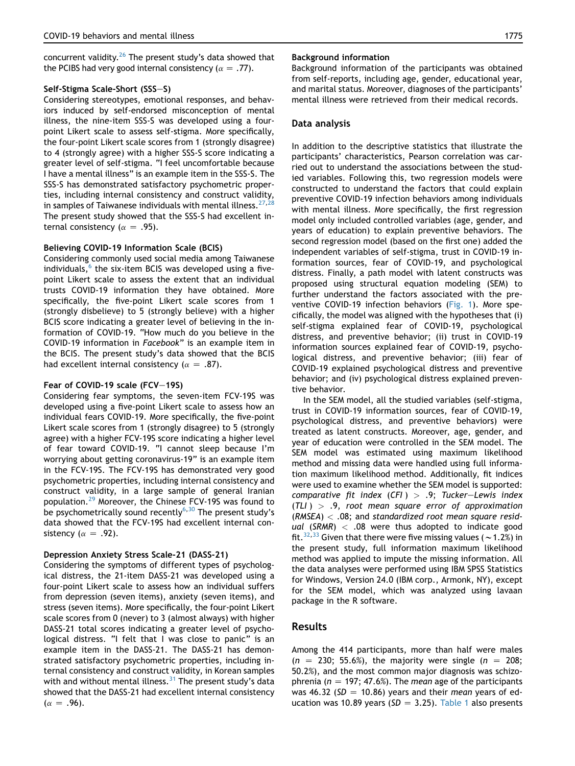concurrent validity. $26$  The present study's data showed that the PCIBS had very good internal consistency ( $\alpha = .77$ ).

#### Self-Stigma Scale-Short (SSS-S)

Considering stereotypes, emotional responses, and behaviors induced by self-endorsed misconception of mental illness, the nine-item SSS-S was developed using a fourpoint Likert scale to assess self-stigma. More specifically, the four-point Likert scale scores from 1 (strongly disagree) to 4 (strongly agree) with a higher SSS-S score indicating a greater level of self-stigma. "I feel uncomfortable because I have a mental illness" is an example item in the SSS-S. The SSS-S has demonstrated satisfactory psychometric properties, including internal consistency and construct validity, in samples of Taiwanese individuals with mental illness.  $27$ , The present study showed that the SSS-S had excellent internal consistency ( $\alpha = .95$ ).

#### Believing COVID-19 Information Scale (BCIS)

Considering commonly used social media among Taiwanese individuals, $<sup>6</sup>$  $<sup>6</sup>$  $<sup>6</sup>$  the six-item BCIS was developed using a five-</sup> point Likert scale to assess the extent that an individual trusts COVID-19 information they have obtained. More specifically, the five-point Likert scale scores from 1 (strongly disbelieve) to 5 (strongly believe) with a higher BCIS score indicating a greater level of believing in the information of COVID-19. "How much do you believe in the COVID-19 information in Facebook" is an example item in the BCIS. The present study's data showed that the BCIS had excellent internal consistency ( $\alpha = .87$ ).

#### Fear of COVID-19 scale (FCV-19S)

Considering fear symptoms, the seven-item FCV-19S was developed using a five-point Likert scale to assess how an individual fears COVID-19. More specifically, the five-point Likert scale scores from 1 (strongly disagree) to 5 (strongly agree) with a higher FCV-19S score indicating a higher level of fear toward COVID-19. "I cannot sleep because I'm worrying about getting coronavirus-19" is an example item in the FCV-19S. The FCV-19S has demonstrated very good psychometric properties, including internal consistency and construct validity, in a large sample of general Iranian population.[29](#page-7-23) Moreover, the Chinese FCV-19S was found to be psychometrically sound recently<sup>[6,](#page-7-4)[30](#page-7-24)</sup> The present study's data showed that the FCV-19S had excellent internal consistency ( $\alpha = .92$ ).

#### Depression Anxiety Stress Scale-21 (DASS-21)

Considering the symptoms of different types of psychological distress, the 21-item DASS-21 was developed using a four-point Likert scale to assess how an individual suffers from depression (seven items), anxiety (seven items), and stress (seven items). More specifically, the four-point Likert scale scores from 0 (never) to 3 (almost always) with higher DASS-21 total scores indicating a greater level of psychological distress. "I felt that I was close to panic" is an example item in the DASS-21. The DASS-21 has demonstrated satisfactory psychometric properties, including internal consistency and construct validity, in Korean samples with and without mental illness.  $31$  The present study's data showed that the DASS-21 had excellent internal consistency  $(\alpha = .96).$ 

#### Background information

Background information of the participants was obtained from self-reports, including age, gender, educational year, and marital status. Moreover, diagnoses of the participants' mental illness were retrieved from their medical records.

#### Data analysis

In addition to the descriptive statistics that illustrate the participants' characteristics, Pearson correlation was carried out to understand the associations between the studied variables. Following this, two regression models were constructed to understand the factors that could explain preventive COVID-19 infection behaviors among individuals with mental illness. More specifically, the first regression model only included controlled variables (age, gender, and years of education) to explain preventive behaviors. The second regression model (based on the first one) added the independent variables of self-stigma, trust in COVID-19 information sources, fear of COVID-19, and psychological distress. Finally, a path model with latent constructs was proposed using structural equation modeling (SEM) to further understand the factors associated with the preventive COVID-19 infection behaviors [\(Fig. 1\)](#page-2-0). More specifically, the model was aligned with the hypotheses that (i) self-stigma explained fear of COVID-19, psychological distress, and preventive behavior; (ii) trust in COVID-19 information sources explained fear of COVID-19, psychological distress, and preventive behavior; (iii) fear of COVID-19 explained psychological distress and preventive behavior; and (iv) psychological distress explained preventive behavior.

In the SEM model, all the studied variables (self-stigma, trust in COVID-19 information sources, fear of COVID-19, psychological distress, and preventive behaviors) were treated as latent constructs. Moreover, age, gender, and year of education were controlled in the SEM model. The SEM model was estimated using maximum likelihood method and missing data were handled using full information maximum likelihood method. Additionally, fit indices were used to examine whether the SEM model is supported: comparative fit index (CFI)  $> .9$ ; Tucker-Lewis index  $(TLI) > .9$ , root mean square error of approximation  $(RMSEA) < .08$ ; and standardized root mean square residual (SRMR)  $<$  .08 were thus adopted to indicate good fit.<sup>32,[33](#page-8-2)</sup> Given that there were five missing values ( $\sim$  1.2%) in the present study, full information maximum likelihood method was applied to impute the missing information. All the data analyses were performed using IBM SPSS Statistics for Windows, Version 24.0 (IBM corp., Armonk, NY), except for the SEM model, which was analyzed using lavaan package in the R software.

#### Results

Among the 414 participants, more than half were males  $(n = 230; 55.6\%)$ , the majority were single  $(n = 208;$ 50.2%), and the most common major diagnosis was schizophrenia ( $n = 197; 47.6\%$ ). The mean age of the participants was 46.32 (SD = 10.86) years and their mean years of education was 10.89 years ( $SD = 3.25$ ). [Table 1](#page-4-0) also presents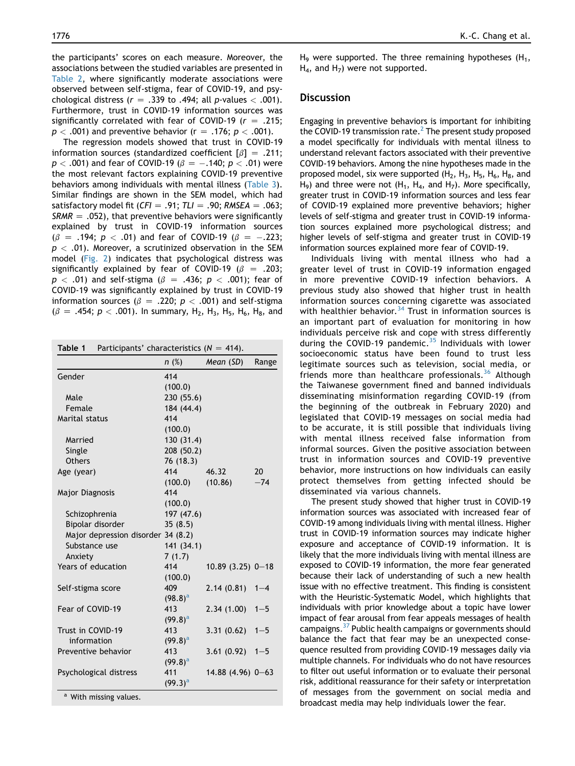the participants' scores on each measure. Moreover, the associations between the studied variables are presented in [Table 2](#page-5-0), where significantly moderate associations were observed between self-stigma, fear of COVID-19, and psychological distress ( $r = .339$  to .494; all p-values  $< .001$ ). Furthermore, trust in COVID-19 information sources was significantly correlated with fear of COVID-19 ( $r = .215$ ;  $p < .001$ ) and preventive behavior (r = .176;  $p < .001$ ).

The regression models showed that trust in COVID-19 information sources (standardized coefficient  $\lceil \beta \rceil$  = .211;  $p < .001$ ) and fear of COVID-19 ( $\beta = -.140$ ;  $p < .01$ ) were the most relevant factors explaining COVID-19 preventive behaviors among individuals with mental illness [\(Table 3](#page-5-1)). Similar findings are shown in the SEM model, which had satisfactory model fit ( $CFI = .91$ ;  $TLI = .90$ ; RMSEA = .063;  $SRMR = .052$ ), that preventive behaviors were significantly explained by trust in COVID-19 information sources  $(\beta = .194; p < .01)$  and fear of COVID-19 ( $\beta = -.223;$  $p < .01$ ). Moreover, a scrutinized observation in the SEM model [\(Fig. 2\)](#page-6-0) indicates that psychological distress was significantly explained by fear of COVID-19 ( $\beta$  = .203;  $p < .01$ ) and self-stigma ( $\beta = .436$ ;  $p < .001$ ); fear of COVID-19 was significantly explained by trust in COVID-19 information sources ( $\beta$  = .220; p < .001) and self-stigma  $(\beta = .454; p < .001)$ . In summary, H<sub>2</sub>, H<sub>3</sub>, H<sub>5</sub>, H<sub>6</sub>, H<sub>8</sub>, and

<span id="page-4-0"></span>

| Participants' characteristics ( $N = 414$ ).<br>Table 1 |            |                    |         |  |
|---------------------------------------------------------|------------|--------------------|---------|--|
|                                                         | n(%)       | Mean $(SD)$        | Range   |  |
| Gender                                                  | 414        |                    |         |  |
|                                                         | (100.0)    |                    |         |  |
| Male                                                    | 230 (55.6) |                    |         |  |
| Female                                                  | 184 (44.4) |                    |         |  |
| Marital status                                          | 414        |                    |         |  |
|                                                         | (100.0)    |                    |         |  |
| Married                                                 | 130 (31.4) |                    |         |  |
| Single                                                  | 208 (50.2) |                    |         |  |
| <b>Others</b>                                           | 76 (18.3)  |                    |         |  |
| Age (year)                                              | 414        | 46.32              | 20      |  |
|                                                         | (100.0)    | (10.86)            | $-74$   |  |
| <b>Major Diagnosis</b>                                  | 414        |                    |         |  |
|                                                         | (100.0)    |                    |         |  |
| Schizophrenia                                           | 197 (47.6) |                    |         |  |
| Bipolar disorder                                        | 35(8.5)    |                    |         |  |
| Major depression disorder 34 (8.2)                      |            |                    |         |  |
| Substance use                                           | 141 (34.1) |                    |         |  |
| Anxiety                                                 | 7(1.7)     |                    |         |  |
| Years of education                                      | 414        | $10.89(3.25)$ 0-18 |         |  |
|                                                         | (100.0)    |                    |         |  |
| Self-stigma score                                       | 409        | 2.14(0.81)         | $1 - 4$ |  |
|                                                         | $(98.8)^a$ |                    |         |  |
| Fear of COVID-19                                        | 413        | 2.34(1.00)         | $1 - 5$ |  |
|                                                         | $(99.8)^a$ |                    |         |  |
| Trust in COVID-19                                       | 413        | 3.31(0.62)         | $1 - 5$ |  |
| information                                             | $(99.8)^a$ |                    |         |  |
| Preventive behavior                                     | 413        | 3.61(0.92)         | $1 - 5$ |  |
|                                                         | $(99.8)^a$ |                    |         |  |
| Psychological distress                                  | 411        | $14.88(4.96)$ 0-63 |         |  |
|                                                         | $(99.3)^a$ |                    |         |  |
| $a$ With missing values                                 |            |                    |         |  |

With missing values.

H<sub>9</sub> were supported. The three remaining hypotheses  $(H_1,$  $H_4$ , and  $H_7$ ) were not supported.

# **Discussion**

Engaging in preventive behaviors is important for inhibiting the COVID-19 transmission rate. $2$  The present study proposed a model specifically for individuals with mental illness to understand relevant factors associated with their preventive COVID-19 behaviors. Among the nine hypotheses made in the proposed model, six were supported  $(H_2, H_3, H_5, H_6, H_8,$  and H<sub>9</sub>) and three were not  $(H_1, H_4,$  and  $H_7$ ). More specifically, greater trust in COVID-19 information sources and less fear of COVID-19 explained more preventive behaviors; higher levels of self-stigma and greater trust in COVID-19 information sources explained more psychological distress; and higher levels of self-stigma and greater trust in COVID-19 information sources explained more fear of COVID-19.

Individuals living with mental illness who had a greater level of trust in COVID-19 information engaged in more preventive COVID-19 infection behaviors. A previous study also showed that higher trust in health information sources concerning cigarette was associated with healthier behavior. $34$  Trust in information sources is an important part of evaluation for monitoring in how individuals perceive risk and cope with stress differently during the COVID-19 pandemic. $35$  Individuals with lower socioeconomic status have been found to trust less legitimate sources such as television, social media, or friends more than healthcare professionals.<sup>[36](#page-8-5)</sup> Although the Taiwanese government fined and banned individuals disseminating misinformation regarding COVID-19 (from the beginning of the outbreak in February 2020) and legislated that COVID-19 messages on social media had to be accurate, it is still possible that individuals living with mental illness received false information from informal sources. Given the positive association between trust in information sources and COVID-19 preventive behavior, more instructions on how individuals can easily protect themselves from getting infected should be disseminated via various channels.

The present study showed that higher trust in COVID-19 information sources was associated with increased fear of COVID-19 among individuals living with mental illness. Higher trust in COVID-19 information sources may indicate higher exposure and acceptance of COVID-19 information. It is likely that the more individuals living with mental illness are exposed to COVID-19 information, the more fear generated because their lack of understanding of such a new health issue with no effective treatment. This finding is consistent with the Heuristic-Systematic Model, which highlights that individuals with prior knowledge about a topic have lower impact of fear arousal from fear appeals messages of health campaigns[.37](#page-8-6) Public health campaigns or governments should balance the fact that fear may be an unexpected consequence resulted from providing COVID-19 messages daily via multiple channels. For individuals who do not have resources to filter out useful information or to evaluate their personal risk, additional reassurance for their safety or interpretation of messages from the government on social media and broadcast media may help individuals lower the fear.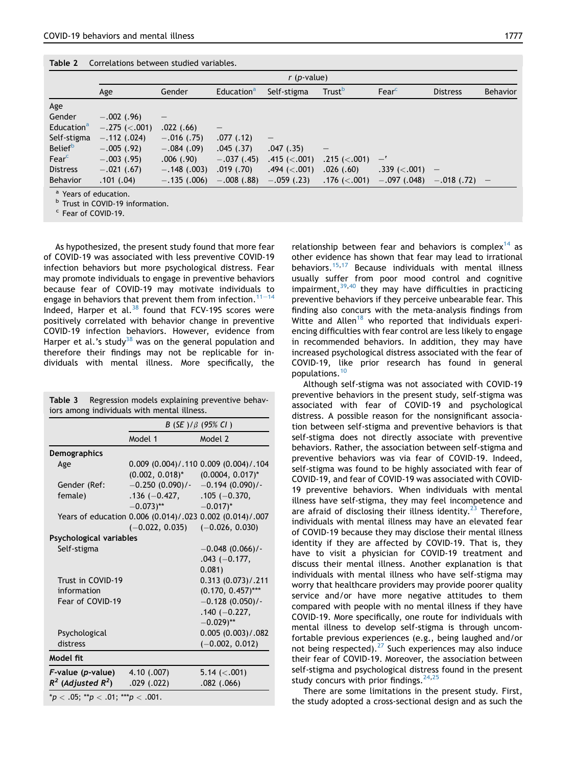<span id="page-5-0"></span>

|                                  | $r$ ( <i>p</i> -value) |               |                        |                     |                     |                     |                          |                          |
|----------------------------------|------------------------|---------------|------------------------|---------------------|---------------------|---------------------|--------------------------|--------------------------|
|                                  | Age                    | Gender        | Education <sup>a</sup> | Self-stigma         | Trust <sup>b</sup>  | Fearc               | <b>Distress</b>          | <b>Behavior</b>          |
| Age                              |                        |               |                        |                     |                     |                     |                          |                          |
| Gender                           | $-.002$ (.96)          | —             |                        |                     |                     |                     |                          |                          |
| Education <sup>a</sup>           | $-.275 (< .001)$       | .022(.66)     |                        |                     |                     |                     |                          |                          |
| Self-stigma                      | $-.112(.024)$          | $-.016$ (.75) | .077(.12)              | $\qquad \qquad -$   |                     |                     |                          |                          |
| <b>Belief</b> <sup>b</sup>       | $-.005$ (.92)          | $-.084(.09)$  | .045(.37)              | .047(.35)           | —                   |                     |                          |                          |
| Fear <sup>c</sup>                | $-.003$ (.95)          | .006(.90)     | $-.037(.45)$           | .415 $(<.001)$      | $.215$ ( $< .001$ ) | —'                  |                          |                          |
| <b>Distress</b>                  | $-.021$ (.67)          | $-.148(.003)$ | .019(.70)              | $.494$ ( $< .001$ ) | .026(.60)           | $.339$ ( $< .001$ ) | $\overline{\phantom{0}}$ |                          |
| <b>Behavior</b>                  | .101(.04)              | $-.135(.006)$ | $-.008(.88)$           | $-.059$ (.23)       | $.176$ ( $< .001$ ) | $-.097(.048)$       | $-.018$ (.72)            | $\overline{\phantom{0}}$ |
| <sup>a</sup> Years of education. |                        |               |                        |                     |                     |                     |                          |                          |

 $\overline{P}$  Trust in COVID-19 information.<br><sup>c</sup> Fear of COVID-19.

As hypothesized, the present study found that more fear of COVID-19 was associated with less preventive COVID-19 infection behaviors but more psychological distress. Fear may promote individuals to engage in preventive behaviors because fear of COVID-19 may motivate individuals to engage in behaviors that prevent them from infection.<sup>[11](#page-7-9)–[14](#page-7-9)</sup> Indeed, Harper et al. $38$  found that FCV-19S scores were positively correlated with behavior change in preventive COVID-19 infection behaviors. However, evidence from Harper et al.'s study<sup>[38](#page-8-7)</sup> was on the general population and therefore their findings may not be replicable for individuals with mental illness. More specifically, the

<span id="page-5-1"></span>

|                                             | <b>Table 3</b> Regression models explaining preventive behav- |  |  |  |  |  |
|---------------------------------------------|---------------------------------------------------------------|--|--|--|--|--|
| iors among individuals with mental illness. |                                                               |  |  |  |  |  |

|                                    | $B(SE)/\beta(95\% CI)$                                   |                                       |  |
|------------------------------------|----------------------------------------------------------|---------------------------------------|--|
|                                    | Model 1                                                  | Model 2                               |  |
| <b>Demographics</b>                |                                                          |                                       |  |
| Age                                |                                                          | 0.009 (0.004)/.110 0.009 (0.004)/.104 |  |
|                                    | $(0.002, 0.018)^*$                                       | $(0.0004, 0.017)^*$                   |  |
| Gender (Ref:                       | $-0.250(0.090)$ /-                                       | $-0.194(0.090)$ /-                    |  |
| female)                            | $.136 (-0.427,$                                          | $.105 (-0.370,$                       |  |
|                                    | $-0.073$ )**                                             | $-0.017$ <sup>*</sup>                 |  |
|                                    | Years of education 0.006 (0.014)/.023 0.002 (0.014)/.007 |                                       |  |
|                                    | $(-0.022, 0.035)$                                        | $(-0.026, 0.030)$                     |  |
| Psychological variables            |                                                          |                                       |  |
| Self-stigma                        |                                                          | $-0.048(0.066)/-$                     |  |
|                                    |                                                          | $.043 (-0.177,$                       |  |
|                                    |                                                          | 0.081)                                |  |
| Trust in COVID-19                  |                                                          | 0.313(0.073)/0.211                    |  |
| information                        |                                                          | $(0.170, 0.457)$ ***                  |  |
| Fear of COVID-19                   |                                                          | $-0.128(0.050)$ /-                    |  |
|                                    |                                                          | $.140 (-0.227,$                       |  |
|                                    |                                                          | $-0.029$ <sup>**</sup>                |  |
| Psychological                      |                                                          | 0.005(0.003)/082                      |  |
| distress                           |                                                          | $(-0.002, 0.012)$                     |  |
| Model fit                          |                                                          |                                       |  |
| F-value (p-value)                  | 4.10 (.007)                                              | 5.14 $(< .001)$                       |  |
| $R^2$ (Adjusted $R^2$ )            | $.029$ $(.022)$                                          | $.082$ $(.066)$                       |  |
| $*p < .05; **p < .01; **p < .001.$ |                                                          |                                       |  |

relationship between fear and behaviors is complex<sup>[14](#page-7-12)</sup> as other evidence has shown that fear may lead to irrational behaviors.<sup>[15](#page-7-13),[17](#page-7-25)</sup> Because individuals with mental illness usually suffer from poor mood control and cognitive impairment, $39,40$  $39,40$  $39,40$  they may have difficulties in practicing preventive behaviors if they perceive unbearable fear. This finding also concurs with the meta-analysis findings from Witte and Allen<sup>[18](#page-7-14)</sup> who reported that individuals experiencing difficulties with fear control are less likely to engage in recommended behaviors. In addition, they may have increased psychological distress associated with the fear of COVID-19, like prior research has found in general populations.[10](#page-7-8)

Although self-stigma was not associated with COVID-19 preventive behaviors in the present study, self-stigma was associated with fear of COVID-19 and psychological distress. A possible reason for the nonsignificant association between self-stigma and preventive behaviors is that self-stigma does not directly associate with preventive behaviors. Rather, the association between self-stigma and preventive behaviors was via fear of COVID-19. Indeed, self-stigma was found to be highly associated with fear of COVID-19, and fear of COVID-19 was associated with COVID-19 preventive behaviors. When individuals with mental illness have self-stigma, they may feel incompetence and are afraid of disclosing their illness identity.<sup>23</sup> Therefore, individuals with mental illness may have an elevated fear of COVID-19 because they may disclose their mental illness identity if they are affected by COVID-19. That is, they have to visit a physician for COVID-19 treatment and discuss their mental illness. Another explanation is that individuals with mental illness who have self-stigma may worry that healthcare providers may provide poorer quality service and/or have more negative attitudes to them compared with people with no mental illness if they have COVID-19. More specifically, one route for individuals with mental illness to develop self-stigma is through uncomfortable previous experiences (e.g., being laughed and/or not being respected).<sup>[27](#page-7-21)</sup> Such experiences may also induce their fear of COVID-19. Moreover, the association between self-stigma and psychological distress found in the present study concurs with prior findings.  $24,25$  $24,25$ 

There are some limitations in the present study. First, the study adopted a cross-sectional design and as such the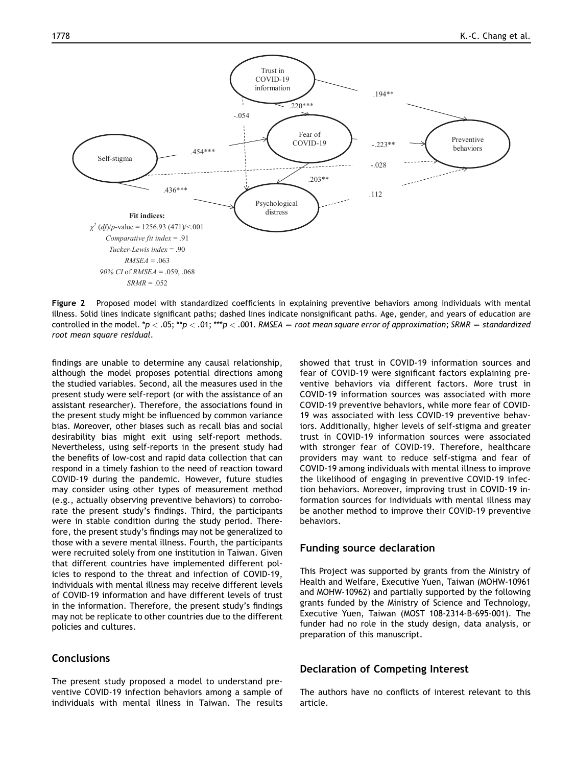<span id="page-6-0"></span>

Figure 2 Proposed model with standardized coefficients in explaining preventive behaviors among individuals with mental illness. Solid lines indicate significant paths; dashed lines indicate nonsignificant paths. Age, gender, and years of education are controlled in the model. \*p < .05; \*\*p < .01; \*\*\*p < .001. RMSEA = root mean square error of approximation; SRMR = standardized root mean square residual.

findings are unable to determine any causal relationship, although the model proposes potential directions among the studied variables. Second, all the measures used in the present study were self-report (or with the assistance of an assistant researcher). Therefore, the associations found in the present study might be influenced by common variance bias. Moreover, other biases such as recall bias and social desirability bias might exit using self-report methods. Nevertheless, using self-reports in the present study had the benefits of low-cost and rapid data collection that can respond in a timely fashion to the need of reaction toward COVID-19 during the pandemic. However, future studies may consider using other types of measurement method (e.g., actually observing preventive behaviors) to corroborate the present study's findings. Third, the participants were in stable condition during the study period. Therefore, the present study's findings may not be generalized to those with a severe mental illness. Fourth, the participants were recruited solely from one institution in Taiwan. Given that different countries have implemented different policies to respond to the threat and infection of COVID-19, individuals with mental illness may receive different levels of COVID-19 information and have different levels of trust in the information. Therefore, the present study's findings may not be replicate to other countries due to the different policies and cultures.

# **Conclusions**

The present study proposed a model to understand preventive COVID-19 infection behaviors among a sample of individuals with mental illness in Taiwan. The results showed that trust in COVID-19 information sources and fear of COVID-19 were significant factors explaining preventive behaviors via different factors. More trust in COVID-19 information sources was associated with more COVID-19 preventive behaviors, while more fear of COVID-19 was associated with less COVID-19 preventive behaviors. Additionally, higher levels of self-stigma and greater trust in COVID-19 information sources were associated with stronger fear of COVID-19. Therefore, healthcare providers may want to reduce self-stigma and fear of COVID-19 among individuals with mental illness to improve the likelihood of engaging in preventive COVID-19 infection behaviors. Moreover, improving trust in COVID-19 information sources for individuals with mental illness may be another method to improve their COVID-19 preventive behaviors.

# Funding source declaration

This Project was supported by grants from the Ministry of Health and Welfare, Executive Yuen, Taiwan (MOHW-10961 and MOHW-10962) and partially supported by the following grants funded by the Ministry of Science and Technology, Executive Yuen, Taiwan (MOST 108-2314-B-695-001). The funder had no role in the study design, data analysis, or preparation of this manuscript.

# Declaration of Competing Interest

The authors have no conflicts of interest relevant to this article.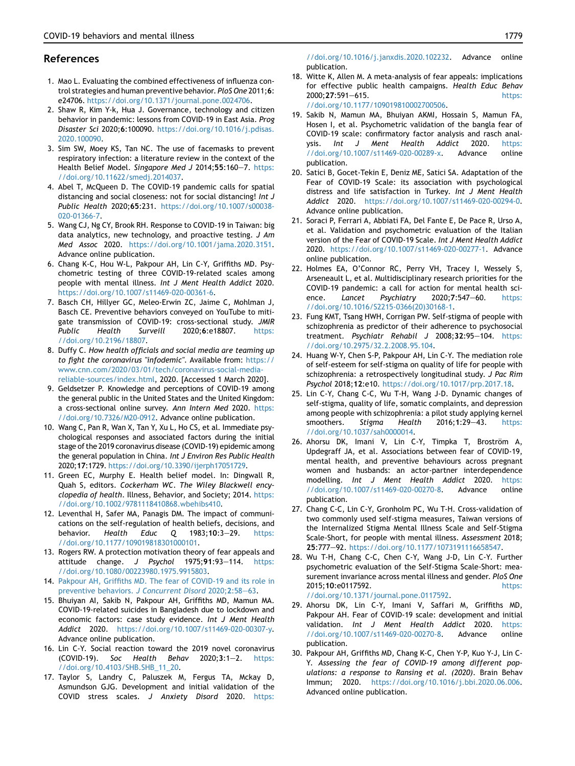# References

- <span id="page-7-0"></span>1. Mao L. Evaluating the combined effectiveness of influenza control strategies and human preventive behavior. PloS One 2011;6: e24706. <https://doi.org/10.1371/journal.pone.0024706>.
- <span id="page-7-1"></span>2. Shaw R, Kim Y-k, Hua J. Governance, technology and citizen behavior in pandemic: lessons from COVID-19 in East Asia. Prog Disaster Sci 2020;6:100090. [https://doi.org/10.1016/j.pdisas.](https://doi.org/10.1016/j.pdisas.2020.100090) [2020.100090.](https://doi.org/10.1016/j.pdisas.2020.100090)
- 3. Sim SW, Moey KS, Tan NC. The use of facemasks to prevent respiratory infection: a literature review in the context of the Health Belief Model. Singapore Med J 2014;55:160-7. [https:](https://doi.org/10.11622/smedj.2014037) [//doi.org/10.11622/smedj.2014037](https://doi.org/10.11622/smedj.2014037).
- <span id="page-7-2"></span>4. Abel T, McQueen D. The COVID-19 pandemic calls for spatial distancing and social closeness: not for social distancing! Int J Public Health 2020;65:231. [https://doi.org/10.1007/s00038-](https://doi.org/10.1007/s00038-020-01366-7) [020-01366-7](https://doi.org/10.1007/s00038-020-01366-7).
- <span id="page-7-3"></span>5. Wang CJ, Ng CY, Brook RH. Response to COVID-19 in Taiwan: big data analytics, new technology, and proactive testing. J Am Med Assoc 2020. [https://doi.org/10.1001/jama.2020.3151.](https://doi.org/10.1001/jama.2020.3151) Advance online publication.
- <span id="page-7-4"></span>6. Chang K-C, Hou W-L, Pakpour AH, Lin C-Y, Griffiths MD. Psychometric testing of three COVID-19-related scales among people with mental illness. Int J Ment Health Addict 2020. <https://doi.org/10.1007/s11469-020-00361-6>.
- <span id="page-7-5"></span>7. Basch CH, Hillyer GC, Meleo-Erwin ZC, Jaime C, Mohlman J, Basch CE. Preventive behaviors conveyed on YouTube to mitigate transmission of COVID-19: cross-sectional study. JMIR Public Health Surveill 2020;6:e18807. [https:](https://doi.org/10.2196/18807) [//doi.org/10.2196/18807.](https://doi.org/10.2196/18807)
- <span id="page-7-6"></span>8. Duffy C. How health officials and social media are teaming up to fight the coronavirus "infodemic". Available from: [https://](https://www.cnn.com/2020/03/01/tech/coronavirus-social-media-reliable-sources/index.html) [www.cnn.com/2020/03/01/tech/coronavirus-social-media](https://www.cnn.com/2020/03/01/tech/coronavirus-social-media-reliable-sources/index.html)[reliable-sources/index.html](https://www.cnn.com/2020/03/01/tech/coronavirus-social-media-reliable-sources/index.html), 2020. [Accessed 1 March 2020].
- <span id="page-7-7"></span>9. Geldsetzer P. Knowledge and perceptions of COVID-19 among the general public in the United States and the United Kingdom: a cross-sectional online survey. Ann Intern Med 2020. [https:](https://doi.org/10.7326/M20-0912) [//doi.org/10.7326/M20-0912.](https://doi.org/10.7326/M20-0912) Advance online publication.
- <span id="page-7-8"></span>10. Wang C, Pan R, Wan X, Tan Y, Xu L, Ho CS, et al. Immediate psychological responses and associated factors during the initial stage of the 2019 coronavirus disease (COVID-19) epidemic among the general population in China. Int J Environ Res Public Health 2020;17:1729. <https://doi.org/10.3390/ijerph17051729>.
- <span id="page-7-9"></span>11. Green EC, Murphy E. Health belief model. In: Dingwall R, Quah S, editors. Cockerham WC. The Wiley Blackwell encyclopedia of health. Illness, Behavior, and Society; 2014. [https:](https://doi.org/10.1002/9781118410868.wbehibs410) [//doi.org/10.1002/9781118410868.wbehibs410](https://doi.org/10.1002/9781118410868.wbehibs410).
- <span id="page-7-10"></span>12. Leventhal H, Safer MA, Panagis DM. The impact of communications on the self-regulation of health beliefs, decisions, and behavior. Health Educ Q 1983;10:3-29. [https:](https://doi.org/10.1177/109019818301000101) [//doi.org/10.1177/109019818301000101.](https://doi.org/10.1177/109019818301000101)
- <span id="page-7-11"></span>13. Rogers RW. A protection motivation theory of fear appeals and attitude change. J Psychol 1975:91:93-114. [https:](https://doi.org/10.1080/00223980.1975.9915803) [//doi.org/10.1080/00223980.1975.9915803](https://doi.org/10.1080/00223980.1975.9915803).
- <span id="page-7-12"></span>14. [Pakpour AH, Griffiths MD. The fear of COVID-19 and its role in](http://refhub.elsevier.com/S0929-6646(20)30344-2/sref14) [preventive behaviors.](http://refhub.elsevier.com/S0929-6646(20)30344-2/sref14) J Concurrent Disord 2020;2:58-[63](http://refhub.elsevier.com/S0929-6646(20)30344-2/sref14).
- <span id="page-7-13"></span>15. Bhuiyan AI, Sakib N, Pakpour AH, Griffiths MD, Mamun MA. COVID-19-related suicides in Bangladesh due to lockdown and economic factors: case study evidence. Int J Ment Health Addict 2020. [https://doi.org/10.1007/s11469-020-00307-y.](https://doi.org/10.1007/s11469-020-00307-y) Advance online publication.
- 16. Lin C-Y. Social reaction toward the 2019 novel coronavirus  $(COVID-19)$ . Soc Health Behav 2020;3:1-2. [https:](https://doi.org/10.4103/SHB.SHB_11_20) [//doi.org/10.4103/SHB.SHB\\_11\\_20.](https://doi.org/10.4103/SHB.SHB_11_20)
- <span id="page-7-25"></span>17. Taylor S, Landry C, Paluszek M, Fergus TA, Mckay D, Asmundson GJG. Development and initial validation of the COVID stress scales. J Anxiety Disord 2020. [https:](https://doi.org/10.1016/j.janxdis.2020.102232)

[//doi.org/10.1016/j.janxdis.2020.102232.](https://doi.org/10.1016/j.janxdis.2020.102232) Advance online publication.

- <span id="page-7-14"></span>18. Witte K, Allen M. A meta-analysis of fear appeals: implications for effective public health campaigns. Health Educ Behav 2000;27:591-615. [https:](https://doi.org/10.1177/109019810002700506) [//doi.org/10.1177/109019810002700506.](https://doi.org/10.1177/109019810002700506)
- <span id="page-7-15"></span>19. Sakib N, Mamun MA, Bhuiyan AKMI, Hossain S, Mamun FA, Hosen I, et al. Psychometric validation of the bangla fear of COVID-19 scale: confirmatory factor analysis and rasch analysis. Int J Ment Health Addict 2020. [https:](https://doi.org/10.1007/s11469-020-00289-x) [//doi.org/10.1007/s11469-020-00289-x.](https://doi.org/10.1007/s11469-020-00289-x) Advance online publication.
- 20. Satici B, Gocet-Tekin E, Deniz ME, Satici SA. Adaptation of the Fear of COVID-19 Scale: its association with psychological distress and life satisfaction in Turkey. Int J Ment Health Addict 2020. [https://doi.org/10.1007/s11469-020-00294-0.](https://doi.org/10.1007/s11469-020-00294-0) Advance online publication.
- 21. Soraci P, Ferrari A, Abbiati FA, Del Fante E, De Pace R, Urso A, et al. Validation and psychometric evaluation of the Italian version of the Fear of COVID-19 Scale. Int J Ment Health Addict 2020. <https://doi.org/10.1007/s11469-020-00277-1>. Advance online publication.
- <span id="page-7-16"></span>22. Holmes EA, O'Connor RC, Perry VH, Tracey I, Wessely S, Arseneault L, et al. Multidisciplinary research priorities for the COVID-19 pandemic: a call for action for mental health science. Lancet Psychiatry 2020;7:547-60. [https:](https://doi.org/10.1016/S2215-0366(20)30168-1) [//doi.org/10.1016/S2215-0366\(20\)30168-1.](https://doi.org/10.1016/S2215-0366(20)30168-1)
- <span id="page-7-17"></span>23. Fung KMT, Tsang HWH, Corrigan PW. Self-stigma of people with schizophrenia as predictor of their adherence to psychosocial treatment. Psychiatr Rehabil J 2008;32:95-104. [https:](https://doi.org/10.2975/32.2.2008.95.104) [//doi.org/10.2975/32.2.2008.95.104](https://doi.org/10.2975/32.2.2008.95.104).
- <span id="page-7-18"></span>24. Huang W-Y, Chen S-P, Pakpour AH, Lin C-Y. The mediation role of self-esteem for self-stigma on quality of life for people with schizophrenia: a retrospectively longitudinal study. J Pac Rim Psychol 2018;12:e10. [https://doi.org/10.1017/prp.2017.18.](https://doi.org/10.1017/prp.2017.18)
- <span id="page-7-19"></span>25. Lin C-Y, Chang C-C, Wu T-H, Wang J-D. Dynamic changes of self-stigma, quality of life, somatic complaints, and depression among people with schizophrenia: a pilot study applying kernel smoothers. Stigma Health 2016;1:29-43. [https:](https://doi.org/10.1037/sah0000014) [//doi.org/10.1037/sah0000014.](https://doi.org/10.1037/sah0000014)
- <span id="page-7-20"></span>26. Ahorsu DK, Imani V, Lin C-Y, Timpka T, Broström A, Updegraff JA, et al. Associations between fear of COVID-19, mental health, and preventive behaviours across pregnant women and husbands: an actor-partner interdependence modelling. Int J Ment Health Addict 2020. [https:](https://doi.org/10.1007/s11469-020-00270-8) [//doi.org/10.1007/s11469-020-00270-8.](https://doi.org/10.1007/s11469-020-00270-8) Advance online publication.
- <span id="page-7-21"></span>27. Chang C-C, Lin C-Y, Gronholm PC, Wu T-H. Cross-validation of two commonly used self-stigma measures, Taiwan versions of the Internalized Stigma Mental Illness Scale and Self-Stigma Scale-Short, for people with mental illness. Assessment 2018; 25:777e92. [https://doi.org/10.1177/1073191116658547.](https://doi.org/10.1177/1073191116658547)
- <span id="page-7-22"></span>28. Wu T-H, Chang C-C, Chen C-Y, Wang J-D, Lin C-Y. Further psychometric evaluation of the Self-Stigma Scale-Short: measurement invariance across mental illness and gender. PloS One 2015;10:e0117592. [https:](https://doi.org/10.1371/journal.pone.0117592) [//doi.org/10.1371/journal.pone.0117592.](https://doi.org/10.1371/journal.pone.0117592)
- <span id="page-7-23"></span>29. Ahorsu DK, Lin C-Y, Imani V, Saffari M, Griffiths MD, Pakpour AH. Fear of COVID-19 scale: development and initial validation. Int J Ment Health Addict 2020. [https:](https://doi.org/10.1007/s11469-020-00270-8) [//doi.org/10.1007/s11469-020-00270-8.](https://doi.org/10.1007/s11469-020-00270-8) Advance online publication.
- <span id="page-7-24"></span>30. Pakpour AH, Griffiths MD, Chang K-C, Chen Y-P, Kuo Y-J, Lin C-Y. Assessing the fear of COVID-19 among different populations: a response to Ransing et al. (2020). Brain Behav Immun; 2020. [https://doi.org/10.1016/j.bbi.2020.06.006.](https://doi.org/10.1016/j.bbi.2020.06.006) Advanced online publication.